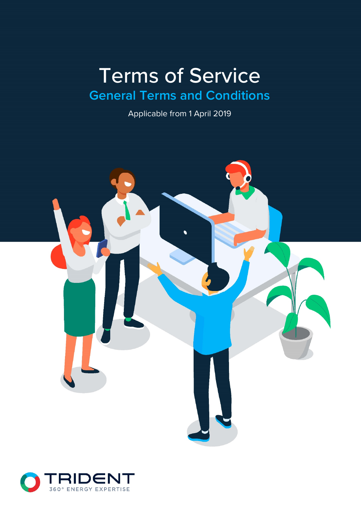# Terms of Service **General Terms and Conditions**

Applicable from 1 April 2019



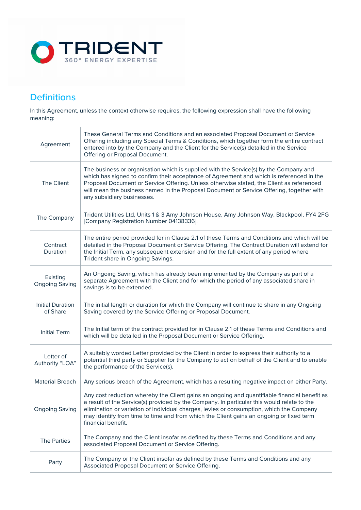

# **Definitions**

In this Agreement, unless the context otherwise requires, the following expression shall have the following meaning:

| Agreement                           | These General Terms and Conditions and an associated Proposal Document or Service<br>Offering including any Special Terms & Conditions, which together form the entire contract<br>entered into by the Company and the Client for the Service(s) detailed in the Service<br>Offering or Proposal Document.                                                                                              |
|-------------------------------------|---------------------------------------------------------------------------------------------------------------------------------------------------------------------------------------------------------------------------------------------------------------------------------------------------------------------------------------------------------------------------------------------------------|
| The Client                          | The business or organisation which is supplied with the Service(s) by the Company and<br>which has signed to confirm their acceptance of Agreement and which is referenced in the<br>Proposal Document or Service Offering. Unless otherwise stated, the Client as referenced<br>will mean the business named in the Proposal Document or Service Offering, together with<br>any subsidiary businesses. |
| The Company                         | Trident Utilities Ltd, Units 1 & 3 Amy Johnson House, Amy Johnson Way, Blackpool, FY4 2FG<br>[Company Registration Number 04138336].                                                                                                                                                                                                                                                                    |
| Contract<br>Duration                | The entire period provided for in Clause 2.1 of these Terms and Conditions and which will be<br>detailed in the Proposal Document or Service Offering. The Contract Duration will extend for<br>the Initial Term, any subsequent extension and for the full extent of any period where<br>Trident share in Ongoing Savings.                                                                             |
| Existing<br><b>Ongoing Saving</b>   | An Ongoing Saving, which has already been implemented by the Company as part of a<br>separate Agreement with the Client and for which the period of any associated share in<br>savings is to be extended.                                                                                                                                                                                               |
| <b>Initial Duration</b><br>of Share | The initial length or duration for which the Company will continue to share in any Ongoing<br>Saving covered by the Service Offering or Proposal Document.                                                                                                                                                                                                                                              |
| <b>Initial Term</b>                 | The Initial term of the contract provided for in Clause 2.1 of these Terms and Conditions and<br>which will be detailed in the Proposal Document or Service Offering.                                                                                                                                                                                                                                   |
| Letter of<br>Authority "LOA"        | A suitably worded Letter provided by the Client in order to express their authority to a<br>potential third party or Supplier for the Company to act on behalf of the Client and to enable<br>the performance of the Service(s).                                                                                                                                                                        |
| <b>Material Breach</b>              | Any serious breach of the Agreement, which has a resulting negative impact on either Party.                                                                                                                                                                                                                                                                                                             |
| <b>Ongoing Saving</b>               | Any cost reduction whereby the Client gains an ongoing and quantifiable financial benefit as<br>a result of the Service(s) provided by the Company. In particular this would relate to the<br>elimination or variation of individual charges, levies or consumption, which the Company<br>may identify from time to time and from which the Client gains an ongoing or fixed term<br>financial benefit. |
| <b>The Parties</b>                  | The Company and the Client insofar as defined by these Terms and Conditions and any<br>associated Proposal Document or Service Offering.                                                                                                                                                                                                                                                                |
| Party                               | The Company or the Client insofar as defined by these Terms and Conditions and any<br>Associated Proposal Document or Service Offering.                                                                                                                                                                                                                                                                 |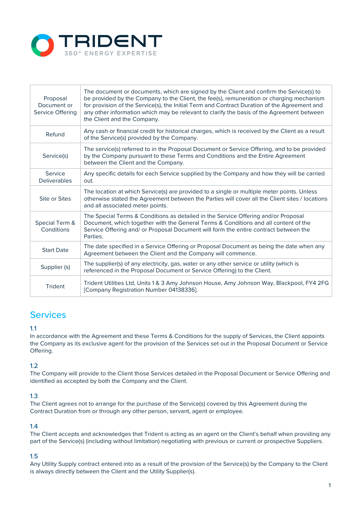

| Proposal<br>Document or<br>Service Offering | The document or documents, which are signed by the Client and confirm the Service(s) to<br>be provided by the Company to the Client, the fee(s), remuneration or charging mechanism<br>for provision of the Service(s), the Initial Term and Contract Duration of the Agreement and<br>any other information which may be relevant to clarify the basis of the Agreement between<br>the Client and the Company. |
|---------------------------------------------|-----------------------------------------------------------------------------------------------------------------------------------------------------------------------------------------------------------------------------------------------------------------------------------------------------------------------------------------------------------------------------------------------------------------|
| Refund                                      | Any cash or financial credit for historical charges, which is received by the Client as a result<br>of the Service(s) provided by the Company.                                                                                                                                                                                                                                                                  |
| Service(s)                                  | The service(s) referred to in the Proposal Document or Service Offering, and to be provided<br>by the Company pursuant to these Terms and Conditions and the Entire Agreement<br>between the Client and the Company.                                                                                                                                                                                            |
| Service<br><b>Deliverables</b>              | Any specific details for each Service supplied by the Company and how they will be carried<br>out.                                                                                                                                                                                                                                                                                                              |
| Site or Sites                               | The location at which Service(s) are provided to a single or multiple meter points. Unless<br>otherwise stated the Agreement between the Parties will cover all the Client sites / locations<br>and all associated meter points.                                                                                                                                                                                |
| Special Term &<br>Conditions                | The Special Terms & Conditions as detailed in the Service Offering and/or Proposal<br>Document, which together with the General Terms & Conditions and all content of the<br>Service Offering and/ or Proposal Document will form the entire contract between the<br>Parties.                                                                                                                                   |
| <b>Start Date</b>                           | The date specified in a Service Offering or Proposal Document as being the date when any<br>Agreement between the Client and the Company will commence.                                                                                                                                                                                                                                                         |
| Supplier (s)                                | The supplier(s) of any electricity, gas, water or any other service or utility (which is<br>referenced in the Proposal Document or Service Offering) to the Client.                                                                                                                                                                                                                                             |
| Trident                                     | Trident Utilities Ltd, Units 1 & 3 Amy Johnson House, Amy Johnson Way, Blackpool, FY4 2FG<br>[Company Registration Number 04138336].                                                                                                                                                                                                                                                                            |

# Services

### 1.1

In accordance with the Agreement and these Terms & Conditions for the supply of Services, the Client appoints the Company as its exclusive agent for the provision of the Services set out in the Proposal Document or Service Offering.

### 1.2

The Company will provide to the Client those Services detailed in the Proposal Document or Service Offering and identified as accepted by both the Company and the Client.

### 1.3

The Client agrees not to arrange for the purchase of the Service(s) covered by this Agreement during the Contract Duration from or through any other person, servant, agent or employee.

### 1.4

The Client accepts and acknowledges that Trident is acting as an agent on the Client's behalf when providing any part of the Service(s) (including without limitation) negotiating with previous or current or prospective Suppliers.

### 1.5

Any Utility Supply contract entered into as a result of the provision of the Service(s) by the Company to the Client is always directly between the Client and the Utility Supplier(s).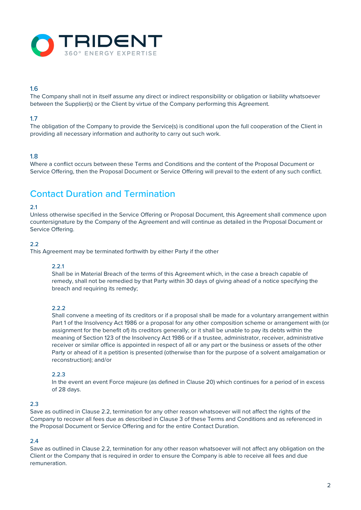

### 1.6

The Company shall not in itself assume any direct or indirect responsibility or obligation or liability whatsoever between the Supplier(s) or the Client by virtue of the Company performing this Agreement.

### 1.7

The obligation of the Company to provide the Service(s) is conditional upon the full cooperation of the Client in providing all necessary information and authority to carry out such work.

### 1.8

Where a conflict occurs between these Terms and Conditions and the content of the Proposal Document or Service Offering, then the Proposal Document or Service Offering will prevail to the extent of any such conflict.

# Contact Duration and Termination

### 2.1

Unless otherwise specified in the Service Offering or Proposal Document, this Agreement shall commence upon countersignature by the Company of the Agreement and will continue as detailed in the Proposal Document or Service Offering.

### $2.2$

This Agreement may be terminated forthwith by either Party if the other

### 2.2.1

Shall be in Material Breach of the terms of this Agreement which, in the case a breach capable of remedy, shall not be remedied by that Party within 30 days of giving ahead of a notice specifying the breach and requiring its remedy;

### 2.2.2

Shall convene a meeting of its creditors or if a proposal shall be made for a voluntary arrangement within Part 1 of the Insolvency Act 1986 or a proposal for any other composition scheme or arrangement with (or assignment for the benefit of) its creditors generally; or it shall be unable to pay its debts within the meaning of Section 123 of the Insolvency Act 1986 or if a trustee, administrator, receiver, administrative receiver or similar office is appointed in respect of all or any part or the business or assets of the other Party or ahead of it a petition is presented (otherwise than for the purpose of a solvent amalgamation or reconstruction); and/or

### 2.2.3

In the event an event Force majeure (as defined in Clause 20) which continues for a period of in excess of 28 days.

### 2.3

Save as outlined in Clause 2.2, termination for any other reason whatsoever will not affect the rights of the Company to recover all fees due as described in Clause 3 of these Terms and Conditions and as referenced in the Proposal Document or Service Offering and for the entire Contact Duration.

### 2.4

Save as outlined in Clause 2.2, termination for any other reason whatsoever will not affect any obligation on the Client or the Company that is required in order to ensure the Company is able to receive all fees and due remuneration.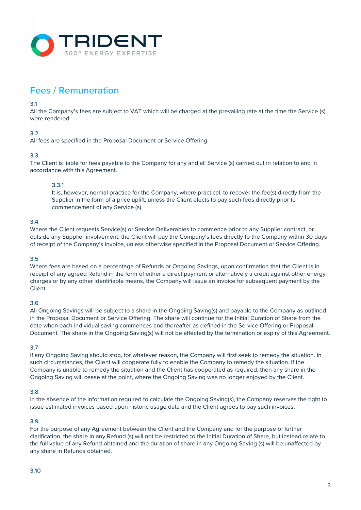

# Fees / Remuneration

### 3.1

All the Company's fees are subject to VAT which will be charged at the prevailing rate at the time the Service (s) were rendered.

### 3.2

All fees are specified in the Proposal Document or Service Offering.

### 3.3

The Client is liable for fees payable to the Company for any and all Service (s) carried out in relation to and in accordance with this Agreement.

### 3.3.1

It is, however, normal practice for the Company, where practical, to recover the fee(s) directly from the Supplier in the form of a price uplift, unless the Client elects to pay such fees directly prior to commencement of any Service (s).

### 3.4

Where the Client requests Service(s) or Service Deliverables to commence prior to any Supplier contract, or outside any Supplier involvement, the Client will pay the Company's fees directly to the Company within 30 days of receipt of the Company's invoice, unless otherwise specified in the Proposal Document or Service Offering.

### 3.5

Where fees are based on a percentage of Refunds or Ongoing Savings, upon confirmation that the Client is in receipt of any agreed Refund in the form of either a direct payment or alternatively a credit against other energy charges or by any other identifiable means, the Company will issue an invoice for subsequent payment by the Client.

### 3.6

All Ongoing Savings will be subject to a share in the Ongoing Saving(s) and payable to the Company as outlined in the Proposal Document or Service Offering. The share will continue for the Initial Duration of Share from the date when each individual saving commences and thereafter as defined in the Service Offering or Proposal Document. The share in the Ongoing Saving(s) will not be affected by the termination or expiry of this Agreement.

### 3.7

If any Ongoing Saving should stop, for whatever reason, the Company will first seek to remedy the situation. In such circumstances, the Client will cooperate fully to enable the Company to remedy the situation. If the Company is unable to remedy the situation and the Client has cooperated as required, then any share in the Ongoing Saving will cease at the point, where the Ongoing Saving was no longer enjoyed by the Client.

### 3.8

In the absence of the information required to calculate the Ongoing Saving(s), the Company reserves the right to issue estimated invoices based upon historic usage data and the Client agrees to pay such invoices.

### 3.9

For the purpose of any Agreement between the Client and the Company and for the purpose of further clarification, the share in any Refund (s) will not be restricted to the Initial Duration of Share, but instead relate to the full value of any Refund obtained and the duration of share in any Ongoing Saving (s) will be unaffected by any share in Refunds obtained.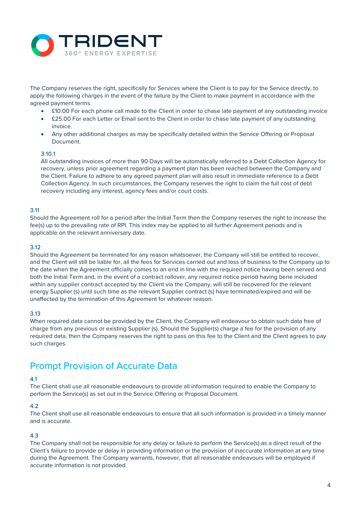

The Company reserves the right, specifically for Services where the Client is to pay for the Service directly, to apply the following charges in the event of the failure by the Client to make payment in accordance with the agreed payment terms.

- £10.00 For each phone call made to the Client in order to chase late payment of any outstanding invoice
- £25.00 For each Letter or Email sent to the Client in order to chase late payment of any outstanding invoice.
- Any other additional charges as may be specifically detailed within the Service Offering or Proposal Document.

### 3.10.1

All outstanding invoices of more than 90 Days will be automatically referred to a Debt Collection Agency for recovery, unless prior agreement regarding a payment plan has been reached between the Company and the Client. Failure to adhere to any agreed payment plan will also result in immediate reference to a Debt Collection Agency. In such circumstances, the Company reserves the right to claim the full cost of debt recovery including any interest, agency fees and/or court costs.

### 3.11

Should the Agreement roll for a period after the Initial Term then the Company reserves the right to increase the fee(s) up to the prevailing rate of RPI. This index may be applied to all further Agreement periods and is applicable on the relevant anniversary date.

#### 3.12

Should the Agreement be terminated for any reason whatsoever, the Company will still be entitled to recover, and the Client will still be liable for, all the fees for Services carried out and loss of business to the Company up to the date when the Agreement officially comes to an end in line with the required notice having been served and both the Initial Term and, in the event of a contract rollover, any required notice period having bene included within any supplier contract accepted by the Client via the Company, will still be recovered for the relevant energy Supplier (s) until such time as the relevant Supplier contract (s) have terminated/expired and will be unaffected by the termination of this Agreement for whatever reason.

#### 3.13

When required data cannot be provided by the Client, the Company will endeavour to obtain such data free of charge from any previous or existing Supplier (s). Should the Supplier(s) charge a fee for the provision of any required data, then the Company reserves the right to pass on this fee to the Client and the Client agrees to pay such charges.

### Prompt Provision of Accurate Data

### 4.1

The Client shall use all reasonable endeavours to provide all information required to enable the Company to perform the Service(s) as set out in the Service Offering or Proposal Document.

#### 4.2

The Client shall use all reasonable endeavours to ensure that all such information is provided in a timely manner and is accurate.

### 4.3

The Company shall not be responsible for any delay or failure to perform the Service(s) as a direct result of the Client's failure to provide or delay in providing information or the provision of inaccurate information at any time during the Agreement. The Company warrants, however, that all reasonable endeavours will be employed if accurate information is not provided.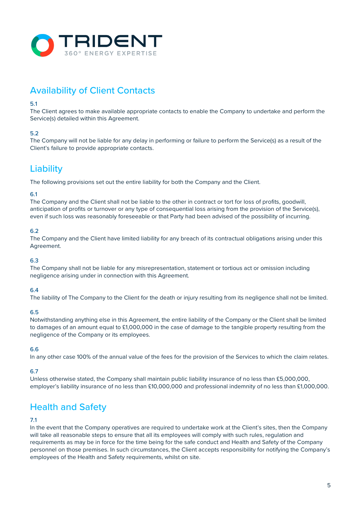

# Availability of Client Contacts

### 5.1

The Client agrees to make available appropriate contacts to enable the Company to undertake and perform the Service(s) detailed within this Agreement.

### 5.2

The Company will not be liable for any delay in performing or failure to perform the Service(s) as a result of the Client's failure to provide appropriate contacts.

# **Liability**

The following provisions set out the entire liability for both the Company and the Client.

### 6.1

The Company and the Client shall not be liable to the other in contract or tort for loss of profits, goodwill, anticipation of profits or turnover or any type of consequential loss arising from the provision of the Service(s), even if such loss was reasonably foreseeable or that Party had been advised of the possibility of incurring.

### 6.2

The Company and the Client have limited liability for any breach of its contractual obligations arising under this Agreement.

### 6.3

The Company shall not be liable for any misrepresentation, statement or tortious act or omission including negligence arising under in connection with this Agreement.

### 6.4

The liability of The Company to the Client for the death or injury resulting from its negligence shall not be limited.

### 6.5

Notwithstanding anything else in this Agreement, the entire liability of the Company or the Client shall be limited to damages of an amount equal to £1,000,000 in the case of damage to the tangible property resulting from the negligence of the Company or its employees.

### 6.6

In any other case 100% of the annual value of the fees for the provision of the Services to which the claim relates.

### 6.7

Unless otherwise stated, the Company shall maintain public liability insurance of no less than £5,000,000, employer's liability insurance of no less than £10,000,000 and professional indemnity of no less than £1,000,000.

# Health and Safety

### 7.1

In the event that the Company operatives are required to undertake work at the Client's sites, then the Company will take all reasonable steps to ensure that all its employees will comply with such rules, regulation and requirements as may be in force for the time being for the safe conduct and Health and Safety of the Company personnel on those premises. In such circumstances, the Client accepts responsibility for notifying the Company's employees of the Health and Safety requirements, whilst on site.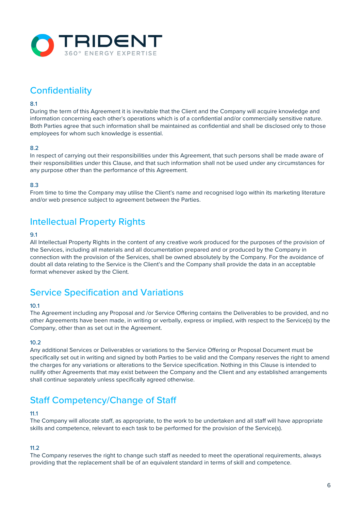

# **Confidentiality**

### 8.1

During the term of this Agreement it is inevitable that the Client and the Company will acquire knowledge and information concerning each other's operations which is of a confidential and/or commercially sensitive nature. Both Parties agree that such information shall be maintained as confidential and shall be disclosed only to those employees for whom such knowledge is essential.

### 8.2

In respect of carrying out their responsibilities under this Agreement, that such persons shall be made aware of their responsibilities under this Clause, and that such information shall not be used under any circumstances for any purpose other than the performance of this Agreement.

### 8.3

From time to time the Company may utilise the Client's name and recognised logo within its marketing literature and/or web presence subject to agreement between the Parties.

## Intellectual Property Rights

### 9.1

All Intellectual Property Rights in the content of any creative work produced for the purposes of the provision of the Services, including all materials and all documentation prepared and or produced by the Company in connection with the provision of the Services, shall be owned absolutely by the Company. For the avoidance of doubt all data relating to the Service is the Client's and the Company shall provide the data in an acceptable format whenever asked by the Client.

# Service Specification and Variations

### 10.1

The Agreement including any Proposal and /or Service Offering contains the Deliverables to be provided, and no other Agreements have been made, in writing or verbally, express or implied, with respect to the Service(s) by the Company, other than as set out in the Agreement.

### $10.2$

Any additional Services or Deliverables or variations to the Service Offering or Proposal Document must be specifically set out in writing and signed by both Parties to be valid and the Company reserves the right to amend the charges for any variations or alterations to the Service specification. Nothing in this Clause is intended to nullify other Agreements that may exist between the Company and the Client and any established arrangements shall continue separately unless specifically agreed otherwise.

# Staff Competency/Change of Staff

### 11.1

The Company will allocate staff, as appropriate, to the work to be undertaken and all staff will have appropriate skills and competence, relevant to each task to be performed for the provision of the Service(s).

### 11.2

The Company reserves the right to change such staff as needed to meet the operational requirements, always providing that the replacement shall be of an equivalent standard in terms of skill and competence.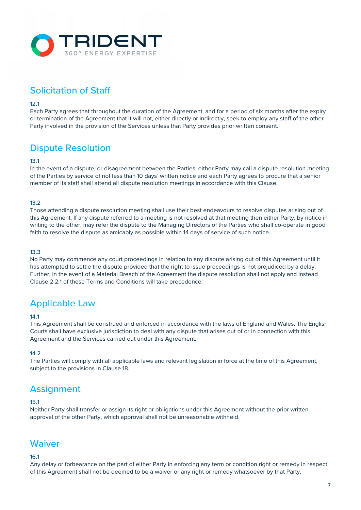

# Solicitation of Staff

### 12.1

Each Party agrees that throughout the duration of the Agreement, and for a period of six months after the expiry or termination of the Agreement that it will not, either directly or indirectly, seek to employ any staff of the other Party involved in the provision of the Services unless that Party provides prior written consent.

# Dispute Resolution

### 13.1

In the event of a dispute, or disagreement between the Parties, either Party may call a dispute resolution meeting of the Parties by service of not less than 10 days' written notice and each Party agrees to procure that a senior member of its staff shall attend all dispute resolution meetings in accordance with this Clause.

### 13.2

Those attending a dispute resolution meeting shall use their best endeavours to resolve disputes arising out of this Agreement. If any dispute referred to a meeting is not resolved at that meeting then either Party, by notice in writing to the other, may refer the dispute to the Managing Directors of the Parties who shall co-operate in good faith to resolve the dispute as amicably as possible within 14 days of service of such notice.

#### 13.3

No Party may commence any court proceedings in relation to any dispute arising out of this Agreement until it has attempted to settle the dispute provided that the right to issue proceedings is not prejudiced by a delay. Further, in the event of a Material Breach of the Agreement the dispute resolution shall not apply and instead Clause 2.2.1 of these Terms and Conditions will take precedence.

## Applicable Law

### 14.1

This Agreement shall be construed and enforced in accordance with the laws of England and Wales. The English Courts shall have exclusive jurisdiction to deal with any dispute that arises out of or in connection with this Agreement and the Services carried out under this Agreement.

### 14.2

The Parties will comply with all applicable laws and relevant legislation in force at the time of this Agreement, subject to the provisions in Clause 18.

### **Assignment**

#### 15.1

Neither Party shall transfer or assign its right or obligations under this Agreement without the prior written approval of the other Party, which approval shall not be unreasonable withheld.

### **Waiver**

### 16.1

Any delay or forbearance on the part of either Party in enforcing any term or condition right or remedy in respect of this Agreement shall not be deemed to be a waiver or any right or remedy whatsoever by that Party.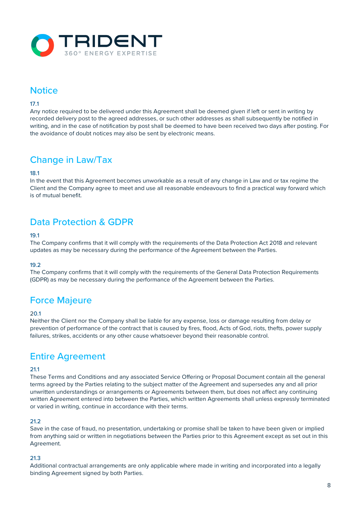

# **Notice**

### 17.1

Any notice required to be delivered under this Agreement shall be deemed given if left or sent in writing by recorded delivery post to the agreed addresses, or such other addresses as shall subsequently be notified in writing, and in the case of notification by post shall be deemed to have been received two days after posting. For the avoidance of doubt notices may also be sent by electronic means.

# Change in Law/Tax

### 18.1

In the event that this Agreement becomes unworkable as a result of any change in Law and or tax regime the Client and the Company agree to meet and use all reasonable endeavours to find a practical way forward which is of mutual benefit.

### Data Protection & GDPR

### 19.1

The Company confirms that it will comply with the requirements of the Data Protection Act 2018 and relevant updates as may be necessary during the performance of the Agreement between the Parties.

### 19.2

The Company confirms that it will comply with the requirements of the General Data Protection Requirements (GDPR) as may be necessary during the performance of the Agreement between the Parties.

### Force Majeure

#### $20.1$

Neither the Client nor the Company shall be liable for any expense, loss or damage resulting from delay or prevention of performance of the contract that is caused by fires, flood, Acts of God, riots, thefts, power supply failures, strikes, accidents or any other cause whatsoever beyond their reasonable control.

## Entire Agreement

### 21.1

These Terms and Conditions and any associated Service Offering or Proposal Document contain all the general terms agreed by the Parties relating to the subject matter of the Agreement and supersedes any and all prior unwritten understandings or arrangements or Agreements between them, but does not affect any continuing written Agreement entered into between the Parties, which written Agreements shall unless expressly terminated or varied in writing, continue in accordance with their terms.

### 21.2

Save in the case of fraud, no presentation, undertaking or promise shall be taken to have been given or implied from anything said or written in negotiations between the Parties prior to this Agreement except as set out in this Agreement.

### 21.3

Additional contractual arrangements are only applicable where made in writing and incorporated into a legally binding Agreement signed by both Parties.